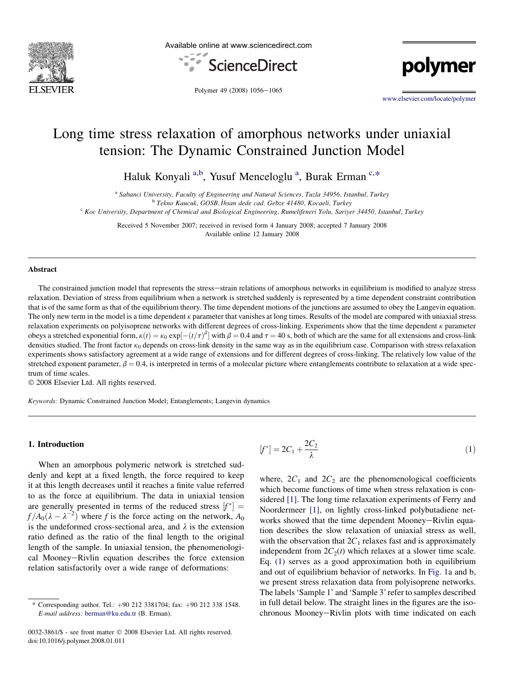

Available online at www.sciencedirect.com



polymer

Polymer 49 (2008) 1056-1065

[www.elsevier.com/locate/polymer](http://www.elsevier.com/locate/polymer)

# Long time stress relaxation of amorphous networks under uniaxial tension: The Dynamic Constrained Junction Model

Haluk Konyali<sup>a,b</sup>, Yusuf Menceloglu<sup>a</sup>, Burak Erman<sup>c,\*</sup>

<sup>a</sup> Sabanci University, Faculty of Engineering and Natural Sciences, Tuzla 34956, Istanbul, Turkey<br><sup>b</sup> Tekno Kaucuk, GOSB, İhsan dede cad. Gebze 41480, Kocaeli, Turkey

 $K$  Koc University, Department of Chemical and Biological Engineering, Rumelifeneri Yolu, Sariyer 34450, Istanbul, Turkey

Received 5 November 2007; received in revised form 4 January 2008; accepted 7 January 2008 Available online 12 January 2008

#### Abstract

The constrained junction model that represents the stress-strain relations of amorphous networks in equilibrium is modified to analyze stress relaxation. Deviation of stress from equilibrium when a network is stretched suddenly is represented by a time dependent constraint contribution that is of the same form as that of the equilibrium theory. The time dependent motions of the junctions are assumed to obey the Langevin equation. The only new term in the model is a time dependent  $\kappa$  parameter that vanishes at long times. Results of the model are compared with uniaxial stress relaxation experiments on polyisoprene networks with different degrees of cross-linking. Experiments show that the time dependent k parameter obeys a stretched exponential form,  $\kappa(t) = \kappa_0 \exp[-(t/\tau)^{\beta}]$  with  $\beta = 0.4$  and  $\tau = 40$  s, both of which are the same for all extensions and cross-link densities studied. The front factor  $\kappa_0$  depends on cross-link density in the same way as in the equilibrium case. Comparison with stress relaxation experiments shows satisfactory agreement at a wide range of extensions and for different degrees of cross-linking. The relatively low value of the stretched exponent parameter,  $\beta = 0.4$ , is interpreted in terms of a molecular picture where entanglements contribute to relaxation at a wide spectrum of time scales.

© 2008 Elsevier Ltd. All rights reserved.

Keywords: Dynamic Constrained Junction Model; Entanglements; Langevin dynamics

#### 1. Introduction

When an amorphous polymeric network is stretched suddenly and kept at a fixed length, the force required to keep it at this length decreases until it reaches a finite value referred to as the force at equilibrium. The data in uniaxial tension are generally presented in terms of the reduced stress  $[f^*] =$  $f/A_0(\lambda - \lambda^{-2})$  where f is the force acting on the network,  $A_0$ is the undeformed cross-sectional area, and  $\lambda$  is the extension ratio defined as the ratio of the final length to the original length of the sample. In uniaxial tension, the phenomenological Mooney-Rivlin equation describes the force extension relation satisfactorily over a wide range of deformations:

0032-3861/\$ - see front matter © 2008 Elsevier Ltd. All rights reserved. doi:10.1016/j.polymer.2008.01.011

$$
[f^*] = 2C_1 + \frac{2C_2}{\lambda} \tag{1}
$$

where,  $2C_1$  and  $2C_2$  are the phenomenological coefficients which become functions of time when stress relaxation is considered [\[1\].](#page-8-0) The long time relaxation experiments of Ferry and Noordermeer [\[1\]](#page-8-0), on lightly cross-linked polybutadiene networks showed that the time dependent Mooney-Rivlin equation describes the slow relaxation of uniaxial stress as well, with the observation that  $2C_1$  relaxes fast and is approximately independent from  $2C_2(t)$  which relaxes at a slower time scale. Eq. (1) serves as a good approximation both in equilibrium and out of equilibrium behavior of networks. In [Fig. 1a](#page-1-0) and b, we present stress relaxation data from polyisoprene networks. The labels 'Sample 1' and 'Sample 3' refer to samples described in full detail below. The straight lines in the figures are the isochronous Mooney-Rivlin plots with time indicated on each

<sup>\*</sup> Corresponding author. Tel.:  $+90$  212 3381704; fax:  $+90$  212 338 1548. E-mail address: [berman@ku.edu.tr](mailto:berman@ku.edu.tr) (B. Erman).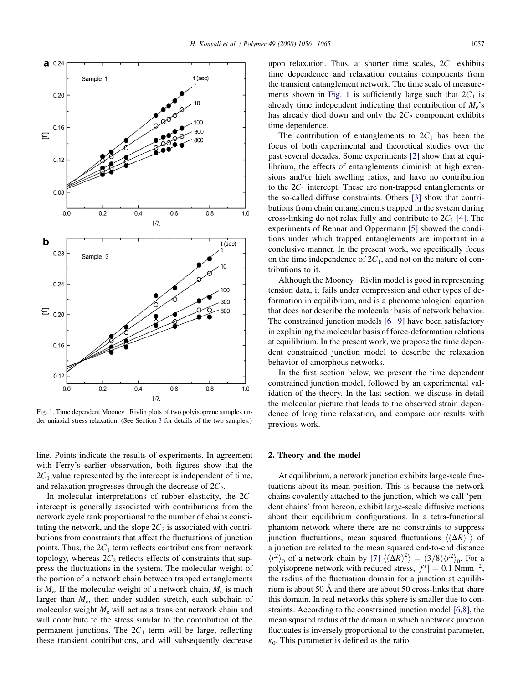<span id="page-1-0"></span>

Fig. 1. Time dependent Mooney-Rivlin plots of two polyisoprene samples under uniaxial stress relaxation. (See Section [3](#page-3-0) for details of the two samples.)

line. Points indicate the results of experiments. In agreement with Ferry's earlier observation, both figures show that the  $2C_1$  value represented by the intercept is independent of time, and relaxation progresses through the decrease of  $2C_2$ .

In molecular interpretations of rubber elasticity, the  $2C_1$ intercept is generally associated with contributions from the network cycle rank proportional to the number of chains constituting the network, and the slope  $2C_2$  is associated with contributions from constraints that affect the fluctuations of junction points. Thus, the  $2C_1$  term reflects contributions from network topology, whereas  $2C_2$  reflects effects of constraints that suppress the fluctuations in the system. The molecular weight of the portion of a network chain between trapped entanglements is  $M_e$ . If the molecular weight of a network chain,  $M_c$  is much larger than  $M_e$ , then under sudden stretch, each subchain of molecular weight  $M_e$  will act as a transient network chain and will contribute to the stress similar to the contribution of the permanent junctions. The  $2C_1$  term will be large, reflecting these transient contributions, and will subsequently decrease

upon relaxation. Thus, at shorter time scales,  $2C_1$  exhibits time dependence and relaxation contains components from the transient entanglement network. The time scale of measurements shown in Fig. 1 is sufficiently large such that  $2C_1$  is already time independent indicating that contribution of  $M_e$ 's has already died down and only the  $2C_2$  component exhibits time dependence.

The contribution of entanglements to  $2C_1$  has been the focus of both experimental and theoretical studies over the past several decades. Some experiments [\[2\]](#page-8-0) show that at equilibrium, the effects of entanglements diminish at high extensions and/or high swelling ratios, and have no contribution to the  $2C_1$  intercept. These are non-trapped entanglements or the so-called diffuse constraints. Others [\[3\]](#page-8-0) show that contributions from chain entanglements trapped in the system during cross-linking do not relax fully and contribute to  $2C_1$  [\[4\].](#page-8-0) The experiments of Rennar and Oppermann [\[5\]](#page-8-0) showed the conditions under which trapped entanglements are important in a conclusive manner. In the present work, we specifically focus on the time independence of  $2C_1$ , and not on the nature of contributions to it.

Although the Mooney-Rivlin model is good in representing tension data, it fails under compression and other types of deformation in equilibrium, and is a phenomenological equation that does not describe the molecular basis of network behavior. The constrained junction models  $[6-9]$  $[6-9]$  $[6-9]$  have been satisfactory in explaining the molecular basis of force-deformation relations at equilibrium. In the present work, we propose the time dependent constrained junction model to describe the relaxation behavior of amorphous networks.

In the first section below, we present the time dependent constrained junction model, followed by an experimental validation of the theory. In the last section, we discuss in detail the molecular picture that leads to the observed strain dependence of long time relaxation, and compare our results with previous work.

## 2. Theory and the model

At equilibrium, a network junction exhibits large-scale fluctuations about its mean position. This is because the network chains covalently attached to the junction, which we call 'pendent chains' from hereon, exhibit large-scale diffusive motions about their equilibrium configurations. In a tetra-functional phantom network where there are no constraints to suppress junction fluctuations, mean squared fluctuations  $\langle (\Delta R)^2 \rangle$  of a junction are related to the mean squared end-to-end distance  $\langle r^2 \rangle_0$  of a network chain by [\[7\]](#page-8-0)  $\langle (\Delta R)^2 \rangle = (3/8) \langle r^2 \rangle_0$ . For a polyisoprene network with reduced stress,  $[f^*]=0.1$  Nmm<sup>-2</sup>, the radius of the fluctuation domain for a junction at equilibrium is about 50  $\AA$  and there are about 50 cross-links that share this domain. In real networks this sphere is smaller due to constraints. According to the constrained junction model [\[6,8\]](#page-8-0), the mean squared radius of the domain in which a network junction fluctuates is inversely proportional to the constraint parameter,  $k_0$ . This parameter is defined as the ratio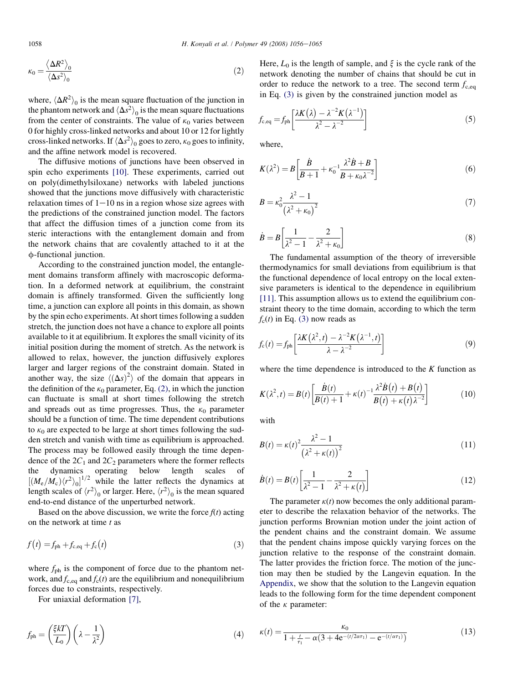<span id="page-2-0"></span>
$$
\kappa_0 = \frac{\langle \Delta R^2 \rangle_0}{\langle \Delta s^2 \rangle_0} \tag{2}
$$

where,  $\langle \Delta R^2 \rangle_0$  is the mean square fluctuation of the junction in the phantom network and  $\langle \Delta s^2 \rangle_0$  is the mean square fluctuations from the center of constraints. The value of  $\kappa_0$  varies between 0 for highly cross-linked networks and about 10 or 12 for lightly cross-linked networks. If  $\langle\Delta s^2\rangle_0$  goes to zero,  $\kappa_0$  goes to infinity, and the affine network model is recovered.

The diffusive motions of junctions have been observed in spin echo experiments [\[10\]](#page-8-0). These experiments, carried out on poly(dimethylsiloxane) networks with labeled junctions showed that the junctions move diffusively with characteristic relaxation times of  $1-10$  ns in a region whose size agrees with the predictions of the constrained junction model. The factors that affect the diffusion times of a junction come from its steric interactions with the entanglement domain and from the network chains that are covalently attached to it at the  $\phi$ -functional junction.

According to the constrained junction model, the entanglement domains transform affinely with macroscopic deformation. In a deformed network at equilibrium, the constraint domain is affinely transformed. Given the sufficiently long time, a junction can explore all points in this domain, as shown by the spin echo experiments. At short times following a sudden stretch, the junction does not have a chance to explore all points available to it at equilibrium. It explores the small vicinity of its initial position during the moment of stretch. As the network is allowed to relax, however, the junction diffusively explores larger and larger regions of the constraint domain. Stated in another way, the size  $\langle (\Delta s)^2 \rangle$  of the domain that appears in the definition of the  $\kappa_0$  parameter, Eq. (2), in which the junction can fluctuate is small at short times following the stretch and spreads out as time progresses. Thus, the  $\kappa_0$  parameter should be a function of time. The time dependent contributions to  $\kappa_0$  are expected to be large at short times following the sudden stretch and vanish with time as equilibrium is approached. The process may be followed easily through the time dependence of the  $2C_1$  and  $2C_2$  parameters where the former reflects the dynamics operating below length scales of  $[(M_e/M_c)\langle r^2\rangle_0]^{1/2}$  while the latter reflects the dynamics at length scales of  $\langle r^2 \rangle_0$  or larger. Here,  $\langle r^2 \rangle_0$  is the mean squared end-to-end distance of the unperturbed network.

Based on the above discussion, we write the force  $f(t)$  acting on the network at time  $t$  as

$$
f(t) = f_{\text{ph}} + f_{\text{c,eq}} + f_{\text{c}}(t) \tag{3}
$$

where  $f_{\text{ph}}$  is the component of force due to the phantom network, and  $f_{c,eq}$  and  $f_c(t)$  are the equilibrium and nonequilibrium forces due to constraints, respectively.

For uniaxial deformation [\[7\]](#page-8-0),

$$
f_{\rm ph} = \left(\frac{\xi kT}{L_0}\right) \left(\lambda - \frac{1}{\lambda^2}\right) \tag{4}
$$

Here,  $L_0$  is the length of sample, and  $\xi$  is the cycle rank of the network denoting the number of chains that should be cut in order to reduce the network to a tree. The second term  $f_{\text{c,eq}}$ in Eq. (3) is given by the constrained junction model as

$$
f_{\rm c,eq} = f_{\rm ph} \left[ \frac{\lambda K(\lambda) - \lambda^{-2} K(\lambda^{-1})}{\lambda^2 - \lambda^{-2}} \right]
$$
 (5)

where,

$$
K(\lambda^2) = B \left[ \frac{\dot{B}}{B+1} + \kappa_0^{-1} \frac{\lambda^2 \dot{B} + B}{B + \kappa_0 \lambda^{-2}} \right]
$$
(6)

$$
B = \kappa_0^2 \frac{\lambda^2 - 1}{\left(\lambda^2 + \kappa_0\right)^2} \tag{7}
$$

$$
\dot{B} = B \left[ \frac{1}{\lambda^2 - 1} - \frac{2}{\lambda^2 + \kappa_0} \right] \tag{8}
$$

The fundamental assumption of the theory of irreversible thermodynamics for small deviations from equilibrium is that the functional dependence of local entropy on the local extensive parameters is identical to the dependence in equilibrium [\[11\]](#page-8-0). This assumption allows us to extend the equilibrium constraint theory to the time domain, according to which the term  $f_c(t)$  in Eq. (3) now reads as

$$
f_{\rm c}(t) = f_{\rm ph} \left[ \frac{\lambda K(\lambda^2, t) - \lambda^{-2} K(\lambda^{-1}, t)}{\lambda - \lambda^{-2}} \right]
$$
 (9)

where the time dependence is introduced to the  $K$  function as

$$
K(\lambda^2, t) = B(t) \left[ \frac{\dot{B}(t)}{B(t) + 1} + \kappa(t)^{-1} \frac{\lambda^2 \dot{B}(t) + B(t)}{B(t) + \kappa(t) \lambda^{-2}} \right]
$$
(10)

with

$$
B(t) = \kappa(t)^2 \frac{\lambda^2 - 1}{\left(\lambda^2 + \kappa(t)\right)^2} \tag{11}
$$

$$
\dot{B}(t) = B(t) \left[ \frac{1}{\lambda^2 - 1} - \frac{2}{\lambda^2 + \kappa(t)} \right]
$$
\n(12)

The parameter  $\kappa(t)$  now becomes the only additional parameter to describe the relaxation behavior of the networks. The junction performs Brownian motion under the joint action of the pendent chains and the constraint domain. We assume that the pendent chains impose quickly varying forces on the junction relative to the response of the constraint domain. The latter provides the friction force. The motion of the junction may then be studied by the Langevin equation. In the [Appendix](#page-8-0), we show that the solution to the Langevin equation leads to the following form for the time dependent component of the  $\kappa$  parameter:

$$
\kappa(t) = \frac{\kappa_0}{1 + \frac{t}{\tau_1} - \alpha(3 + 4e^{-(t/2\alpha\tau_1)} - e^{-(t/\alpha\tau_1)})}
$$
(13)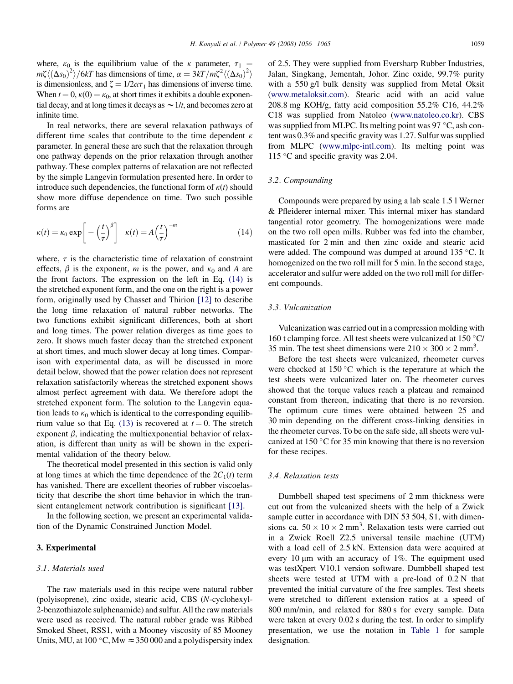<span id="page-3-0"></span>where,  $\kappa_0$  is the equilibrium value of the  $\kappa$  parameter,  $\tau_1$  =  $m\zeta \langle (\Delta s_0)^2 \rangle / 6kT$  has dimensions of time,  $\alpha = 3kT/m\zeta^2 \langle (\Delta s_0)^2 \rangle$ is dimensionless, and  $\zeta = 1/2\alpha\tau_1$  has dimensions of inverse time. When  $t = 0$ ,  $\kappa(0) = \kappa_0$ , at short times it exhibits a double exponential decay, and at long times it decays as  $\sim 1/t$ , and becomes zero at infinite time.

In real networks, there are several relaxation pathways of different time scales that contribute to the time dependent  $\kappa$ parameter. In general these are such that the relaxation through one pathway depends on the prior relaxation through another pathway. These complex patterns of relaxation are not reflected by the simple Langevin formulation presented here. In order to introduce such dependencies, the functional form of  $\kappa(t)$  should show more diffuse dependence on time. Two such possible forms are

$$
\kappa(t) = \kappa_0 \exp\left[-\left(\frac{t}{\tau}\right)^{\beta}\right] \quad \kappa(t) = A\left(\frac{t}{\tau}\right)^{-m} \tag{14}
$$

where,  $\tau$  is the characteristic time of relaxation of constraint effects,  $\beta$  is the exponent, m is the power, and  $\kappa_0$  and A are the front factors. The expression on the left in Eq. (14) is the stretched exponent form, and the one on the right is a power form, originally used by Chasset and Thirion [\[12\]](#page-8-0) to describe the long time relaxation of natural rubber networks. The two functions exhibit significant differences, both at short and long times. The power relation diverges as time goes to zero. It shows much faster decay than the stretched exponent at short times, and much slower decay at long times. Comparison with experimental data, as will be discussed in more detail below, showed that the power relation does not represent relaxation satisfactorily whereas the stretched exponent shows almost perfect agreement with data. We therefore adopt the stretched exponent form. The solution to the Langevin equation leads to  $\kappa_0$  which is identical to the corresponding equilib-rium value so that Eq. [\(13\)](#page-2-0) is recovered at  $t = 0$ . The stretch exponent  $\beta$ , indicating the multiexponential behavior of relaxation, is different than unity as will be shown in the experimental validation of the theory below.

The theoretical model presented in this section is valid only at long times at which the time dependence of the  $2C_1(t)$  term has vanished. There are excellent theories of rubber viscoelasticity that describe the short time behavior in which the transient entanglement network contribution is significant [\[13\]](#page-8-0).

In the following section, we present an experimental validation of the Dynamic Constrained Junction Model.

#### 3. Experimental

## 3.1. Materials used

The raw materials used in this recipe were natural rubber (polyisoprene), zinc oxide, stearic acid, CBS (N-cyclohexyl-2-benzothiazole sulphenamide) and sulfur. All the raw materials were used as received. The natural rubber grade was Ribbed Smoked Sheet, RSS1, with a Mooney viscosity of 85 Mooney Units, MU, at 100 °C, Mw  $\approx$  350 000 and a polydispersity index of 2.5. They were supplied from Eversharp Rubber Industries, Jalan, Singkang, Jementah, Johor. Zinc oxide, 99.7% purity with a 550 g/l bulk density was supplied from Metal Oksit ([www.metaloksit.com\)](http://www.metaloksit.com). Stearic acid with an acid value 208.8 mg KOH/g, fatty acid composition 55.2% C16, 44.2% C18 was supplied from Natoleo [\(www.natoleo.co.kr\)](http://www.natoleo.co.kr). CBS was supplied from MLPC. Its melting point was 97  $\degree$ C, ash content was 0.3% and specific gravity was 1.27. Sulfur was supplied from MLPC [\(www.mlpc-intl.com](http://www.mlpc-intl.com)). Its melting point was 115 °C and specific gravity was 2.04.

#### 3.2. Compounding

Compounds were prepared by using a lab scale 1.5 l Werner & Pfleiderer internal mixer. This internal mixer has standard tangential rotor geometry. The homogenizations were made on the two roll open mills. Rubber was fed into the chamber, masticated for 2 min and then zinc oxide and stearic acid were added. The compound was dumped at around  $135^{\circ}$ C. It homogenized on the two roll mill for 5 min. In the second stage, accelerator and sulfur were added on the two roll mill for different compounds.

#### 3.3. Vulcanization

Vulcanization was carried out in a compression molding with 160 t clamping force. All test sheets were vulcanized at 150  $\degree$ C/ 35 min. The test sheet dimensions were  $210 \times 300 \times 2$  mm<sup>3</sup>.

Before the test sheets were vulcanized, rheometer curves were checked at  $150^{\circ}$ C which is the teperature at which the test sheets were vulcanized later on. The rheometer curves showed that the torque values reach a plateau and remained constant from thereon, indicating that there is no reversion. The optimum cure times were obtained between 25 and 30 min depending on the different cross-linking densities in the rheometer curves. To be on the safe side, all sheets were vulcanized at 150 $\degree$ C for 35 min knowing that there is no reversion for these recipes.

### 3.4. Relaxation tests

Dumbbell shaped test specimens of 2 mm thickness were cut out from the vulcanized sheets with the help of a Zwick sample cutter in accordance with DIN 53 504, S1, with dimensions ca.  $50 \times 10 \times 2$  mm<sup>3</sup>. Relaxation tests were carried out in a Zwick Roell Z2.5 universal tensile machine (UTM) with a load cell of 2.5 kN. Extension data were acquired at every 10  $\mu$ m with an accuracy of 1%. The equipment used was testXpert V10.1 version software. Dumbbell shaped test sheets were tested at UTM with a pre-load of 0.2 N that prevented the initial curvature of the free samples. Test sheets were stretched to different extension ratios at a speed of 800 mm/min, and relaxed for 880 s for every sample. Data were taken at every 0.02 s during the test. In order to simplify presentation, we use the notation in [Table 1](#page-4-0) for sample designation.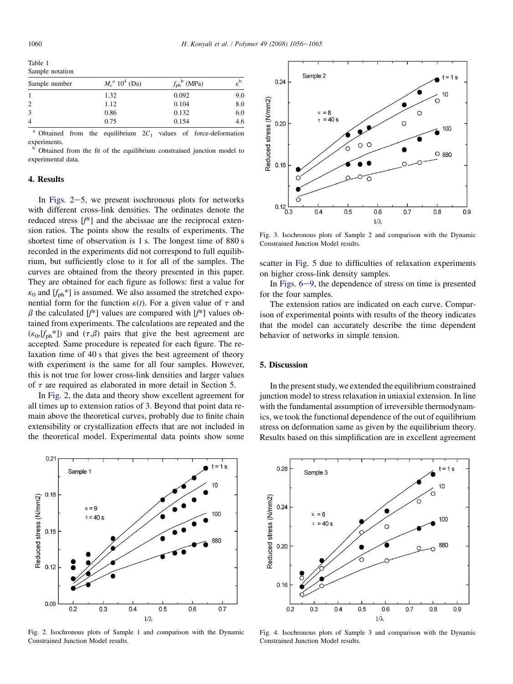<span id="page-4-0"></span>

| Sample notation | Table 1       |                         |                                 |  |
|-----------------|---------------|-------------------------|---------------------------------|--|
|                 |               |                         |                                 |  |
|                 | Sample number | $M_c^{\rm a} 10^4$ (Da) | $f_{\rm ph}$ <sup>b</sup> (MPa) |  |

|                | 1.32 | 0.092 | 9.0 |
|----------------|------|-------|-----|
| $\overline{2}$ | 1.12 | 0.104 | 8.0 |
| 3              | 0.86 | 0.132 | 6.0 |
| $\overline{4}$ | 0.75 | 0.154 | 4.6 |
|                |      |       |     |

<sup>a</sup> Obtained from the equilibrium  $2C_1$  values of force-deformation experiments.

<sup>b</sup> Obtained from the fit of the equilibrium constrained junction model to experimental data.

## 4. Results

In Figs.  $2-5$ , we present isochronous plots for networks with different cross-link densities. The ordinates denote the reduced stress [f\*] and the abcissae are the reciprocal extension ratios. The points show the results of experiments. The shortest time of observation is 1 s. The longest time of 880 s recorded in the experiments did not correspond to full equilibrium, but sufficiently close to it for all of the samples. The curves are obtained from the theory presented in this paper. They are obtained for each figure as follows: first a value for  $\kappa_0$  and  $[f_{\text{ph}}^*]$  is assumed. We also assumed the stretched exponential form for the function  $\kappa(t)$ . For a given value of  $\tau$  and  $\beta$  the calculated [f<sup>\*</sup>] values are compared with [f<sup>\*</sup>] values obtained from experiments. The calculations are repeated and the  $(\kappa_0, [f_{\text{ph}}^*])$  and  $(\tau, \beta)$  pairs that give the best agreement are accepted. Same procedure is repeated for each figure. The relaxation time of 40 s that gives the best agreement of theory with experiment is the same for all four samples. However, this is not true for lower cross-link densities and larger values of  $\tau$  are required as elaborated in more detail in Section 5.

In Fig. 2, the data and theory show excellent agreement for all times up to extension ratios of 3. Beyond that point data remain above the theoretical curves, probably due to finite chain extensibility or crystallization effects that are not included in the theoretical model. Experimental data points show some



Fig. 2. Isochronous plots of Sample 1 and comparison with the Dynamic Constrained Junction Model results.



Fig. 3. Isochronous plots of Sample 2 and comparison with the Dynamic Constrained Junction Model results.

scatter in [Fig. 5](#page-5-0) due to difficulties of relaxation experiments on higher cross-link density samples.

In Figs.  $6-9$ , the dependence of stress on time is presented for the four samples.

The extension ratios are indicated on each curve. Comparison of experimental points with results of the theory indicates that the model can accurately describe the time dependent behavior of networks in simple tension.

## 5. Discussion

In the present study, we extended the equilibrium constrained junction model to stress relaxation in uniaxial extension. In line with the fundamental assumption of irreversible thermodynamics, we took the functional dependence of the out of equilibrium stress on deformation same as given by the equilibrium theory. Results based on this simplification are in excellent agreement



Fig. 4. Isochronous plots of Sample 3 and comparison with the Dynamic Constrained Junction Model results.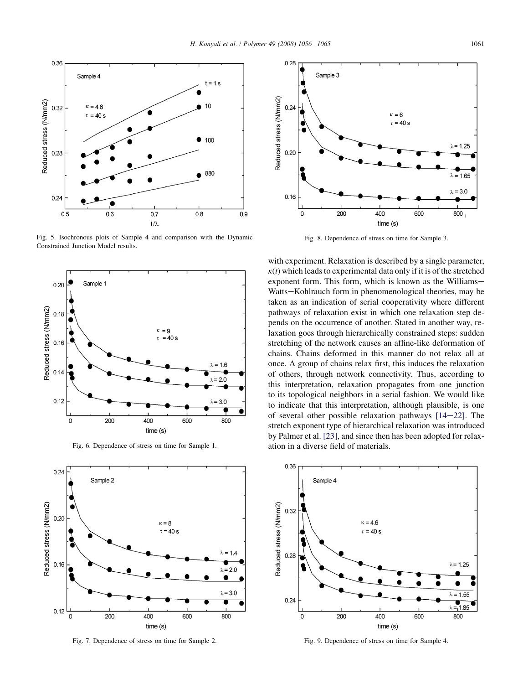<span id="page-5-0"></span>

Fig. 5. Isochronous plots of Sample 4 and comparison with the Dynamic Constrained Junction Model results.



Fig. 6. Dependence of stress on time for Sample 1.



Fig. 7. Dependence of stress on time for Sample 2.



Fig. 8. Dependence of stress on time for Sample 3.

with experiment. Relaxation is described by a single parameter,  $k(t)$  which leads to experimental data only if it is of the stretched exponent form. This form, which is known as the Williams-Watts-Kohlrauch form in phenomenological theories, may be taken as an indication of serial cooperativity where different pathways of relaxation exist in which one relaxation step depends on the occurrence of another. Stated in another way, relaxation goes through hierarchically constrained steps: sudden stretching of the network causes an affine-like deformation of chains. Chains deformed in this manner do not relax all at once. A group of chains relax first, this induces the relaxation of others, through network connectivity. Thus, according to this interpretation, relaxation propagates from one junction to its topological neighbors in a serial fashion. We would like to indicate that this interpretation, although plausible, is one of several other possible relaxation pathways  $[14-22]$  $[14-22]$ . The stretch exponent type of hierarchical relaxation was introduced by Palmer et al. [\[23\],](#page-9-0) and since then has been adopted for relaxation in a diverse field of materials.



Fig. 9. Dependence of stress on time for Sample 4.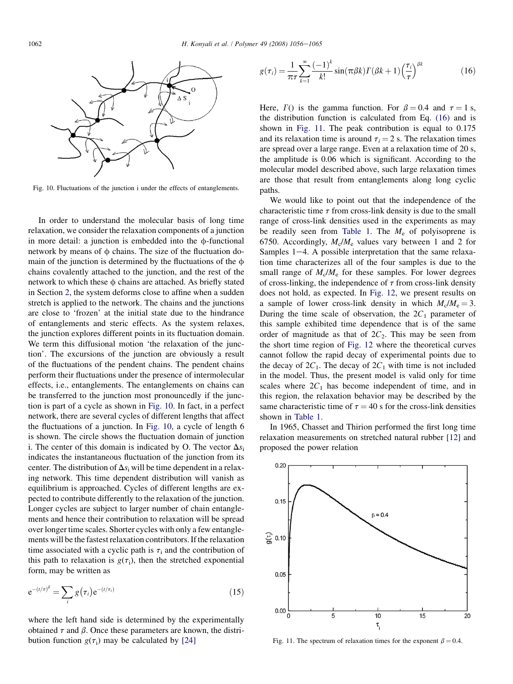

Fig. 10. Fluctuations of the junction i under the effects of entanglements.

In order to understand the molecular basis of long time relaxation, we consider the relaxation components of a junction in more detail: a junction is embedded into the  $\phi$ -functional network by means of  $\phi$  chains. The size of the fluctuation domain of the junction is determined by the fluctuations of the  $\phi$ chains covalently attached to the junction, and the rest of the network to which these  $\phi$  chains are attached. As briefly stated in Section [2,](#page-1-0) the system deforms close to affine when a sudden stretch is applied to the network. The chains and the junctions are close to 'frozen' at the initial state due to the hindrance of entanglements and steric effects. As the system relaxes, the junction explores different points in its fluctuation domain. We term this diffusional motion 'the relaxation of the junction'. The excursions of the junction are obviously a result of the fluctuations of the pendent chains. The pendent chains perform their fluctuations under the presence of intermolecular effects, i.e., entanglements. The entanglements on chains can be transferred to the junction most pronouncedly if the junction is part of a cycle as shown in Fig. 10. In fact, in a perfect network, there are several cycles of different lengths that affect the fluctuations of a junction. In Fig. 10, a cycle of length 6 is shown. The circle shows the fluctuation domain of junction i. The center of this domain is indicated by O. The vector  $\Delta s_i$ indicates the instantaneous fluctuation of the junction from its center. The distribution of  $\Delta s_i$  will be time dependent in a relaxing network. This time dependent distribution will vanish as equilibrium is approached. Cycles of different lengths are expected to contribute differently to the relaxation of the junction. Longer cycles are subject to larger number of chain entanglements and hence their contribution to relaxation will be spread over longer time scales. Shorter cycles with only a few entanglements will be the fastest relaxation contributors. If the relaxation time associated with a cyclic path is  $\tau_i$  and the contribution of this path to relaxation is  $g(\tau_i)$ , then the stretched exponential form, may be written as

$$
e^{-(t/\tau)^{\beta}} = \sum_{i} g(\tau_i) e^{-(t/\tau_i)}
$$
\n(15)

where the left hand side is determined by the experimentally obtained  $\tau$  and  $\beta$ . Once these parameters are known, the distribution function  $g(\tau_i)$  may be calculated by [\[24\]](#page-9-0)

$$
g(\tau_i) = \frac{1}{\pi \tau} \sum_{k=1}^{\infty} \frac{(-1)^k}{k!} \sin(\pi \beta k) \Gamma(\beta k + 1) \left(\frac{\tau_i}{\tau}\right)^{\beta k} \tag{16}
$$

Here,  $\Gamma$ () is the gamma function. For  $\beta = 0.4$  and  $\tau = 1$  s, the distribution function is calculated from Eq. (16) and is shown in Fig. 11. The peak contribution is equal to 0.175 and its relaxation time is around  $\tau_i = 2$  s. The relaxation times are spread over a large range. Even at a relaxation time of 20 s, the amplitude is 0.06 which is significant. According to the molecular model described above, such large relaxation times are those that result from entanglements along long cyclic paths.

We would like to point out that the independence of the characteristic time  $\tau$  from cross-link density is due to the small range of cross-link densities used in the experiments as may be readily seen from [Table 1.](#page-4-0) The  $M_e$  of polyisoprene is 6750. Accordingly,  $M_c/M_e$  values vary between 1 and 2 for Samples  $1-4$ . A possible interpretation that the same relaxation time characterizes all of the four samples is due to the small range of  $M_c/M_e$  for these samples. For lower degrees of cross-linking, the independence of  $\tau$  from cross-link density does not hold, as expected. In [Fig. 12](#page-7-0), we present results on a sample of lower cross-link density in which  $M_c/M_e = 3$ . During the time scale of observation, the  $2C_1$  parameter of this sample exhibited time dependence that is of the same order of magnitude as that of  $2C_2$ . This may be seen from the short time region of [Fig. 12](#page-7-0) where the theoretical curves cannot follow the rapid decay of experimental points due to the decay of  $2C_1$ . The decay of  $2C_1$  with time is not included in the model. Thus, the present model is valid only for time scales where  $2C_1$  has become independent of time, and in this region, the relaxation behavior may be described by the same characteristic time of  $\tau = 40$  s for the cross-link densities shown in [Table 1.](#page-4-0)

In 1965, Chasset and Thirion performed the first long time relaxation measurements on stretched natural rubber [\[12\]](#page-8-0) and proposed the power relation



Fig. 11. The spectrum of relaxation times for the exponent  $\beta = 0.4$ .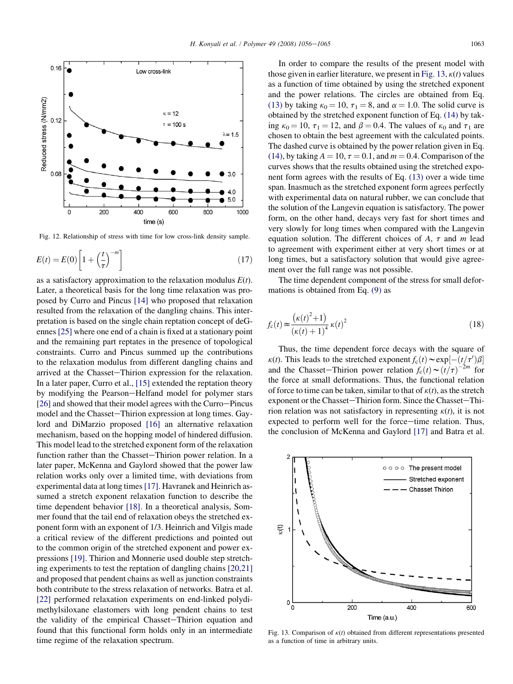<span id="page-7-0"></span>

Fig. 12. Relationship of stress with time for low cross-link density sample.

$$
E(t) = E(0) \left[ 1 + \left(\frac{t}{\tau}\right)^{-m} \right] \tag{17}
$$

as a satisfactory approximation to the relaxation modulus  $E(t)$ . Later, a theoretical basis for the long time relaxation was proposed by Curro and Pincus [\[14\]](#page-8-0) who proposed that relaxation resulted from the relaxation of the dangling chains. This interpretation is based on the single chain reptation concept of deGennes [\[25\]](#page-9-0) where one end of a chain is fixed at a stationary point and the remaining part reptates in the presence of topological constraints. Curro and Pincus summed up the contributions to the relaxation modulus from different dangling chains and arrived at the Chasset-Thirion expression for the relaxation. In a later paper, Curro et al., [\[15\]](#page-8-0) extended the reptation theory by modifying the Pearson-Helfand model for polymer stars  $[26]$  and showed that their model agrees with the Curro-Pincus model and the Chasset-Thirion expression at long times. Gaylord and DiMarzio proposed [\[16\]](#page-9-0) an alternative relaxation mechanism, based on the hopping model of hindered diffusion. This model lead to the stretched exponent form of the relaxation function rather than the Chasset-Thirion power relation. In a later paper, McKenna and Gaylord showed that the power law relation works only over a limited time, with deviations from experimental data at long times[\[17\].](#page-9-0) Havranek and Heinrich assumed a stretch exponent relaxation function to describe the time dependent behavior [\[18\]](#page-9-0). In a theoretical analysis, Sommer found that the tail end of relaxation obeys the stretched exponent form with an exponent of 1/3. Heinrich and Vilgis made a critical review of the different predictions and pointed out to the common origin of the stretched exponent and power expressions [\[19\].](#page-9-0) Thirion and Monnerie used double step stretching experiments to test the reptation of dangling chains [\[20,21\]](#page-9-0) and proposed that pendent chains as well as junction constraints both contribute to the stress relaxation of networks. Batra et al. [\[22\]](#page-9-0) performed relaxation experiments on end-linked polydimethylsiloxane elastomers with long pendent chains to test the validity of the empirical Chasset-Thirion equation and found that this functional form holds only in an intermediate time regime of the relaxation spectrum.

In order to compare the results of the present model with those given in earlier literature, we present in Fig. 13,  $\kappa(t)$  values as a function of time obtained by using the stretched exponent and the power relations. The circles are obtained from Eq. [\(13\)](#page-2-0) by taking  $\kappa_0 = 10$ ,  $\tau_1 = 8$ , and  $\alpha = 1.0$ . The solid curve is obtained by the stretched exponent function of Eq. [\(14\)](#page-3-0) by taking  $\kappa_0 = 10$ ,  $\tau_1 = 12$ , and  $\beta = 0.4$ . The values of  $\kappa_0$  and  $\tau_1$  are chosen to obtain the best agreement with the calculated points. The dashed curve is obtained by the power relation given in Eq. [\(14\)](#page-3-0), by taking  $A = 10$ ,  $\tau = 0.1$ , and  $m = 0.4$ . Comparison of the curves shows that the results obtained using the stretched exponent form agrees with the results of Eq. [\(13\)](#page-2-0) over a wide time span. Inasmuch as the stretched exponent form agrees perfectly with experimental data on natural rubber, we can conclude that the solution of the Langevin equation is satisfactory. The power form, on the other hand, decays very fast for short times and very slowly for long times when compared with the Langevin equation solution. The different choices of A,  $\tau$  and m lead to agreement with experiment either at very short times or at long times, but a satisfactory solution that would give agreement over the full range was not possible.

The time dependent component of the stress for small deformations is obtained from Eq. [\(9\)](#page-2-0) as

$$
f_{c}(t) \approx \frac{\left(\kappa(t)^{2} + 1\right)}{\left(\kappa(t) + 1\right)^{4}} \,\kappa(t)^{2}
$$
\n(18)

Thus, the time dependent force decays with the square of  $\kappa(t)$ . This leads to the stretched exponent  $f_c(t) \sim \exp[-(t/\tau')\beta]$ and the Chasset–Thirion power relation  $f_c(t) \sim (t/\tau)^{-2m}$  for the force at small deformations. Thus, the functional relation of force to time can be taken, similar to that of  $\kappa(t)$ , as the stretch exponent or the Chasset-Thirion form. Since the Chasset-Thirion relation was not satisfactory in representing  $\kappa(t)$ , it is not expected to perform well for the force-time relation. Thus, the conclusion of McKenna and Gaylord [\[17\]](#page-9-0) and Batra et al.



Fig. 13. Comparison of  $\kappa(t)$  obtained from different representations presented as a function of time in arbitrary units.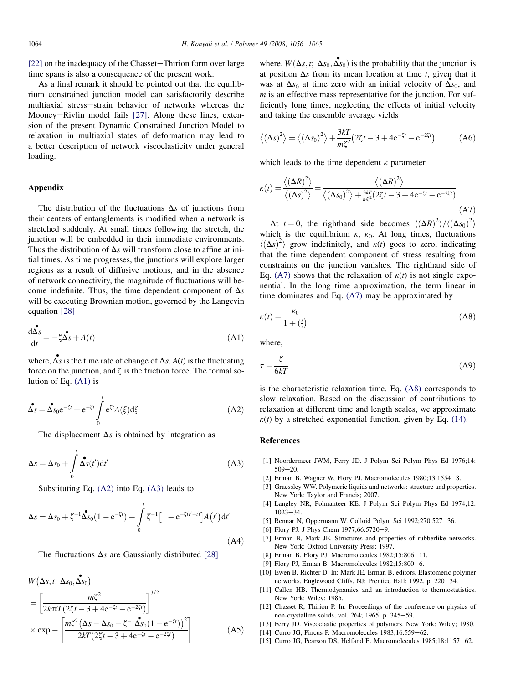<span id="page-8-0"></span> $[22]$  on the inadequacy of the Chasset-Thirion form over large time spans is also a consequence of the present work.

As a final remark it should be pointed out that the equilibrium constrained junction model can satisfactorily describe multiaxial stress-strain behavior of networks whereas the Mooney-Rivlin model fails [\[27\].](#page-9-0) Along these lines, extension of the present Dynamic Constrained Junction Model to relaxation in multiaxial states of deformation may lead to a better description of network viscoelasticity under general loading.

## Appendix

The distribution of the fluctuations  $\Delta s$  of junctions from their centers of entanglements is modified when a network is stretched suddenly. At small times following the stretch, the junction will be embedded in their immediate environments. Thus the distribution of  $\Delta s$  will transform close to affine at initial times. As time progresses, the junctions will explore larger regions as a result of diffusive motions, and in the absence of network connectivity, the magnitude of fluctuations will become indefinite. Thus, the time dependent component of  $\Delta s$ will be executing Brownian motion, governed by the Langevin equation [\[28\]](#page-9-0)

$$
\frac{d\mathbf{\hat{\Delta}}s}{dt} = -\zeta \mathbf{\hat{\Delta}}s + A(t)
$$
\n(A1)

where,  $\mathbf{\hat{\Delta s}}$  is the time rate of change of  $\Delta s$ .  $A(t)$  is the fluctuating force on the junction, and  $\zeta$  is the friction force. The formal solution of Eq. (A1) is

$$
\Delta s = \Delta s_0 e^{-\zeta t} + e^{-\zeta t} \int_0^t e^{\zeta t} A(\xi) d\xi
$$
 (A2)

The displacement  $\Delta s$  is obtained by integration as

$$
\Delta s = \Delta s_0 + \int\limits_0^t \Delta s(t') dt' \tag{A3}
$$

Substituting Eq. (A2) into Eq. (A3) leads to

$$
\Delta s = \Delta s_0 + \zeta^{-1} \hat{\Delta s_0} (1 - e^{-\zeta t}) + \int_0^t \zeta^{-1} \left[ 1 - e^{-\zeta (t'-t)} \right] A(t') dt' \tag{A4}
$$

The fluctuations  $\Delta s$  are Gaussianly distributed [\[28\]](#page-9-0)

$$
W(\Delta s, t; \Delta s_0, \Delta s_0)
$$
  
=  $\left[ \frac{m\zeta^2}{2k\pi T (2\zeta t - 3 + 4e^{-\zeta t} - e^{-2\zeta t})} \right]^{3/2}$   

$$
\times \exp - \left[ \frac{m\zeta^2 (\Delta s - \Delta s_0 - \zeta^{-1} \Delta s_0 (1 - e^{-\zeta t}))^2}{2kT (2\zeta t - 3 + 4e^{-\zeta t} - e^{-2\zeta t})} \right]
$$
(A5)

where,  $W(\Delta s, t; \Delta s_0, \Delta s_0)$  is the probability that the junction is at position  $\Delta s$  from its mean location at time t, given that it was at  $\Delta s_0$  at time zero with an initial velocity of  $\Delta s_0$ , and  $m$  is an effective mass representative for the junction. For sufficiently long times, neglecting the effects of initial velocity and taking the ensemble average yields

$$
\langle (\Delta s)^2 \rangle = \langle (\Delta s_0)^2 \rangle + \frac{3kT}{m\zeta^2} (2\zeta t - 3 + 4e^{-\zeta t} - e^{-2\zeta t})
$$
 (A6)

which leads to the time dependent  $\kappa$  parameter

$$
\kappa(t) = \frac{\langle (\Delta R)^2 \rangle}{\langle (\Delta s)^2 \rangle} = \frac{\langle (\Delta R)^2 \rangle}{\langle (\Delta s_0)^2 \rangle + \frac{3kT}{m\xi^2} (2\zeta t - 3 + 4e^{-\zeta t} - e^{-2\zeta t})}
$$
(A7)

At  $t = 0$ , the righthand side becomes  $\langle (\Delta R)^2 \rangle / \langle (\Delta s_0)^2 \rangle$ which is the equilibrium  $\kappa$ ,  $\kappa_0$ . At long times, fluctuations  $\langle (\Delta s)^2 \rangle$  grow indefinitely, and  $\kappa(t)$  goes to zero, indicating that the time dependent component of stress resulting from constraints on the junction vanishes. The righthand side of Eq. (A7) shows that the relaxation of  $\kappa(t)$  is not single exponential. In the long time approximation, the term linear in time dominates and Eq. (A7) may be approximated by

$$
\kappa(t) = \frac{\kappa_0}{1 + \left(\frac{t}{\tau}\right)}\tag{A8}
$$

where,

$$
\tau = \frac{\zeta}{6kT} \tag{A9}
$$

is the characteristic relaxation time. Eq. (A8) corresponds to slow relaxation. Based on the discussion of contributions to relaxation at different time and length scales, we approximate  $k(t)$  by a stretched exponential function, given by Eq. [\(14\)](#page-3-0).

#### References

- [1] Noordermeer JWM, Ferry JD. J Polym Sci Polym Phys Ed 1976;14:  $509 - 20$
- [2] Erman B, Wagner W, Flory PJ. Macromolecules  $1980; 13: 1554-8$ .
- [3] Graessley WW. Polymeric liquids and networks: structure and properties. New York: Taylor and Francis; 2007.
- [4] Langley NR, Polmanteer KE. J Polym Sci Polym Phys Ed 1974;12:  $1023 - 34.$
- [5] Rennar N, Oppermann W. Colloid Polym Sci 1992;270:527-36.
- [6] Flory PJ. J Phys Chem 1977;66:5720-9.
- [7] Erman B, Mark JE. Structures and properties of rubberlike networks. New York: Oxford University Press; 1997.
- [8] Erman B, Flory PJ. Macromolecules  $1982; 15:806-11$ .
- [9] Flory PJ, Erman B. Macromolecules  $1982;15:800-6$ .
- [10] Ewen B, Richter D. In: Mark JE, Erman B, editors. Elastomeric polymer networks. Englewood Cliffs, NJ: Prentice Hall; 1992. p. 220-34.
- [11] Callen HB. Thermodynamics and an introduction to thermostatistics. New York: Wiley; 1985.
- [12] Chasset R, Thirion P. In: Proceedings of the conference on physics of non-crystalline solids, vol. 264; 1965. p. 345-59.
- [13] Ferry JD. Viscoelastic properties of polymers. New York: Wiley; 1980.
- [14] Curro JG, Pincus P. Macromolecules  $1983;16:559-62$ .
- [15] Curro JG, Pearson DS, Helfand E. Macromolecules 1985;18:1157-62.